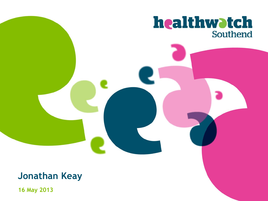

#### **Jonathan Keay**

**16 May 2013**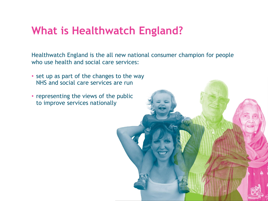#### **What is Healthwatch England?**

Healthwatch England is the all new national consumer champion for people who use health and social care services:

- set up as part of the changes to the way NHS and social care services are run
- representing the views of the public to improve services nationally

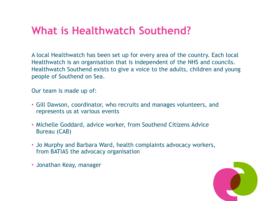# **What is Healthwatch Southend?**

A local Healthwatch has been set up for every area of the country. Each local Healthwatch is an organisation that is independent of the NHS and councils. Healthwatch Southend exists to give a voice to the adults, children and young people of Southend on Sea.

Our team is made up of:

- Gill Dawson, coordinator, who recruits and manages volunteers, and represents us at various events
- Michelle Goddard, advice worker, from Southend Citizens Advice Bureau (CAB)
- Jo Murphy and Barbara Ward, health complaints advocacy workers, from BATIAS the advocacy organisation
- Jonathan Keay, manager

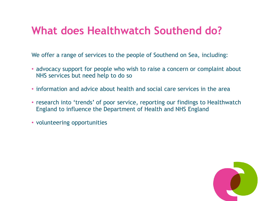# **What does Healthwatch Southend do?**

We offer a range of services to the people of Southend on Sea, including:

- advocacy support for people who wish to raise a concern or complaint about NHS services but need help to do so
- information and advice about health and social care services in the area
- research into 'trends' of poor service, reporting our findings to Healthwatch England to influence the Department of Health and NHS England
- volunteering opportunities

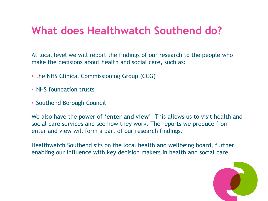# **What does Healthwatch Southend do?**

At local level we will report the findings of our research to the people who make the decisions about health and social care, such as:

- the NHS Clinical Commissioning Group (CCG)
- NHS foundation trusts
- Southend Borough Council

We also have the power of **'enter and view'**. This allows us to visit health and social care services and see how they work. The reports we produce from enter and view will form a part of our research findings.

Healthwatch Southend sits on the local health and wellbeing board, further enabling our influence with key decision makers in health and social care.

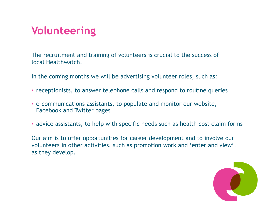# **Volunteering**

The recruitment and training of volunteers is crucial to the success of local Healthwatch.

In the coming months we will be advertising volunteer roles, such as:

- receptionists, to answer telephone calls and respond to routine queries
- e-communications assistants, to populate and monitor our website, Facebook and Twitter pages
- advice assistants, to help with specific needs such as health cost claim forms

Our aim is to offer opportunities for career development and to involve our volunteers in other activities, such as promotion work and 'enter and view', as they develop.

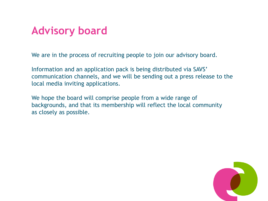# **Advisory board**

We are in the process of recruiting people to join our advisory board.

Information and an application pack is being distributed via SAVS' communication channels, and we will be sending out a press release to the local media inviting applications.

We hope the board will comprise people from a wide range of backgrounds, and that its membership will reflect the local community as closely as possible.

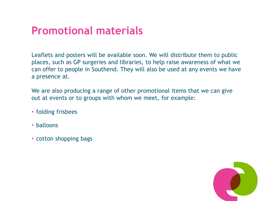## **Promotional materials**

Leaflets and posters will be available soon. We will distribute them to public places, such as GP surgeries and libraries, to help raise awareness of what we can offer to people in Southend. They will also be used at any events we have a presence at.

We are also producing a range of other promotional items that we can give out at events or to groups with whom we meet, for example:

- folding frisbees
- balloons
- cotton shopping bags